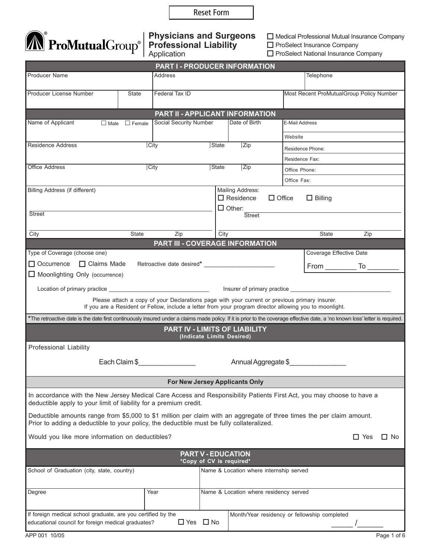Reset Form



## **Physicians and Surgeons Professional Liability** Application

 Medical Professional Mutual Insurance Company **D** ProSelect Insurance Company

**D** ProSelect National Insurance Company

| PART I - PRODUCER INFORMATION                                                                                                                                                                                      |                           |                        |                           |                                                                 |                                                                                                                                                                                                          |                                          |
|--------------------------------------------------------------------------------------------------------------------------------------------------------------------------------------------------------------------|---------------------------|------------------------|---------------------------|-----------------------------------------------------------------|----------------------------------------------------------------------------------------------------------------------------------------------------------------------------------------------------------|------------------------------------------|
| <b>Producer Name</b>                                                                                                                                                                                               |                           | Address                |                           | Telephone                                                       |                                                                                                                                                                                                          |                                          |
| Producer License Number                                                                                                                                                                                            | State                     | Federal Tax ID         |                           |                                                                 |                                                                                                                                                                                                          | Most Recent ProMutualGroup Policy Number |
|                                                                                                                                                                                                                    |                           |                        |                           | <b>PART II - APPLICANT INFORMATION</b>                          |                                                                                                                                                                                                          |                                          |
| Name of Applicant                                                                                                                                                                                                  | $\Box$ Male $\Box$ Female | Social Security Number |                           | Date of Birth                                                   | E-Mail Address                                                                                                                                                                                           |                                          |
|                                                                                                                                                                                                                    |                           |                        |                           |                                                                 | Website                                                                                                                                                                                                  |                                          |
| <b>Residence Address</b>                                                                                                                                                                                           |                           | <b>City</b>            | State                     | Zip                                                             | Residence Phone:                                                                                                                                                                                         |                                          |
|                                                                                                                                                                                                                    |                           |                        |                           | Residence Fax:                                                  |                                                                                                                                                                                                          |                                          |
| <b>Office Address</b><br>City                                                                                                                                                                                      |                           |                        |                           | State<br>Zip<br>Office Phone:                                   |                                                                                                                                                                                                          |                                          |
|                                                                                                                                                                                                                    |                           |                        |                           |                                                                 | Office Fax:                                                                                                                                                                                              |                                          |
| Billing Address (if different)<br><b>Street</b>                                                                                                                                                                    |                           |                        |                           | Mailing Address:<br>$\Box$ Residence<br>$\Box$ Other:<br>Street | $\Box$ Office<br>$\Box$ Billing                                                                                                                                                                          |                                          |
|                                                                                                                                                                                                                    |                           |                        |                           |                                                                 |                                                                                                                                                                                                          |                                          |
| City                                                                                                                                                                                                               | State                     | Zip                    | City                      | <b>PART III - COVERAGE INFORMATION</b>                          | State                                                                                                                                                                                                    | Zip                                      |
| Type of Coverage (choose one)                                                                                                                                                                                      |                           |                        |                           |                                                                 |                                                                                                                                                                                                          | <b>Coverage Effective Date</b>           |
| □ Occurrence □ Claims Made                                                                                                                                                                                         |                           |                        |                           |                                                                 |                                                                                                                                                                                                          |                                          |
| $\Box$ Moonlighting Only (occurrence)                                                                                                                                                                              |                           |                        |                           |                                                                 |                                                                                                                                                                                                          |                                          |
|                                                                                                                                                                                                                    |                           |                        |                           |                                                                 |                                                                                                                                                                                                          |                                          |
|                                                                                                                                                                                                                    |                           |                        |                           |                                                                 | Please attach a copy of your Declarations page with your current or previous primary insurer.<br>If you are a Resident or Fellow, include a letter from your program director allowing you to moonlight. |                                          |
| *The retroactive date is the date first continuously insured under a claims made policy. If it is prior to the coverage effective date, a 'no known loss' letter is required.                                      |                           |                        |                           |                                                                 |                                                                                                                                                                                                          |                                          |
|                                                                                                                                                                                                                    |                           |                        | (Indicate Limits Desired) | PART IV - LIMITS OF LIABILITY                                   |                                                                                                                                                                                                          |                                          |
| Professional Liability                                                                                                                                                                                             |                           |                        |                           |                                                                 |                                                                                                                                                                                                          |                                          |
| Each Claim \$<br>Annual Aggregate \$                                                                                                                                                                               |                           |                        |                           |                                                                 |                                                                                                                                                                                                          |                                          |
| <b>For New Jersey Applicants Only</b>                                                                                                                                                                              |                           |                        |                           |                                                                 |                                                                                                                                                                                                          |                                          |
|                                                                                                                                                                                                                    |                           |                        |                           |                                                                 |                                                                                                                                                                                                          |                                          |
| In accordance with the New Jersey Medical Care Access and Responsibility Patients First Act, you may choose to have a<br>deductible apply to your limit of liability for a premium credit.                         |                           |                        |                           |                                                                 |                                                                                                                                                                                                          |                                          |
| Deductible amounts range from \$5,000 to \$1 million per claim with an aggregate of three times the per claim amount.<br>Prior to adding a deductible to your policy, the deductible must be fully collateralized. |                           |                        |                           |                                                                 |                                                                                                                                                                                                          |                                          |
| $\Box$ Yes<br>Would you like more information on deductibles?<br>$\Box$ No                                                                                                                                         |                           |                        |                           |                                                                 |                                                                                                                                                                                                          |                                          |
| <b>PART V - EDUCATION</b><br>*Copy of CV is required*                                                                                                                                                              |                           |                        |                           |                                                                 |                                                                                                                                                                                                          |                                          |
| Name & Location where internship served<br>School of Graduation (city, state, country)                                                                                                                             |                           |                        |                           |                                                                 |                                                                                                                                                                                                          |                                          |
|                                                                                                                                                                                                                    |                           |                        |                           |                                                                 |                                                                                                                                                                                                          |                                          |
| Degree                                                                                                                                                                                                             |                           | Year                   |                           | Name & Location where residency served                          |                                                                                                                                                                                                          |                                          |
| If foreign medical school graduate, are you certified by the<br>educational council for foreign medical graduates?                                                                                                 |                           | $\Box$ Yes             | $\Box$ No                 |                                                                 | Month/Year residency or fellowship completed                                                                                                                                                             |                                          |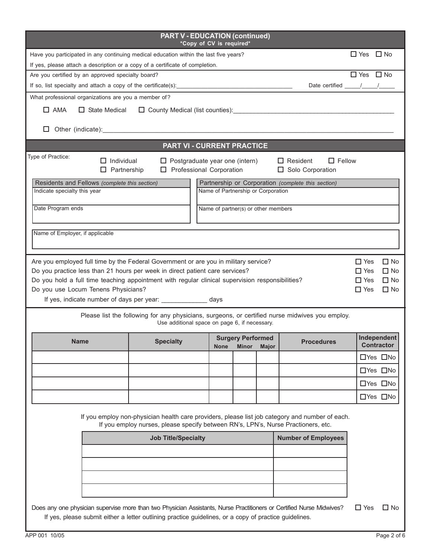| <b>PART V - EDUCATION (continued)</b><br>*Copy of CV is required*                                                                                                                                                                                                                                                                                                                                                                                                                                                                                                                                                      |                                                                                                                                                                                      |             |                                    |                                                                                                                                                                                                                                                                                                                                                                                                                   |            |                      |
|------------------------------------------------------------------------------------------------------------------------------------------------------------------------------------------------------------------------------------------------------------------------------------------------------------------------------------------------------------------------------------------------------------------------------------------------------------------------------------------------------------------------------------------------------------------------------------------------------------------------|--------------------------------------------------------------------------------------------------------------------------------------------------------------------------------------|-------------|------------------------------------|-------------------------------------------------------------------------------------------------------------------------------------------------------------------------------------------------------------------------------------------------------------------------------------------------------------------------------------------------------------------------------------------------------------------|------------|----------------------|
| Have you participated in any continuing medical education within the last five years?                                                                                                                                                                                                                                                                                                                                                                                                                                                                                                                                  |                                                                                                                                                                                      |             |                                    | $\Box$ Yes $\Box$ No                                                                                                                                                                                                                                                                                                                                                                                              |            |                      |
| If yes, please attach a description or a copy of a certificate of completion.                                                                                                                                                                                                                                                                                                                                                                                                                                                                                                                                          |                                                                                                                                                                                      |             |                                    |                                                                                                                                                                                                                                                                                                                                                                                                                   |            |                      |
| Are you certified by an approved specialty board?                                                                                                                                                                                                                                                                                                                                                                                                                                                                                                                                                                      |                                                                                                                                                                                      |             |                                    | $\Box$ Yes $\Box$ No                                                                                                                                                                                                                                                                                                                                                                                              |            |                      |
| If so, list specialty and attach a copy of the certificate(s):                                                                                                                                                                                                                                                                                                                                                                                                                                                                                                                                                         |                                                                                                                                                                                      |             |                                    | Date certified $\frac{1}{\sqrt{1-\frac{1}{2}}}\frac{1}{\sqrt{1-\frac{1}{2}}}\frac{1}{\sqrt{1-\frac{1}{2}}}\frac{1}{\sqrt{1-\frac{1}{2}}}\frac{1}{\sqrt{1-\frac{1}{2}}}\frac{1}{\sqrt{1-\frac{1}{2}}}\frac{1}{\sqrt{1-\frac{1}{2}}}\frac{1}{\sqrt{1-\frac{1}{2}}}\frac{1}{\sqrt{1-\frac{1}{2}}}\frac{1}{\sqrt{1-\frac{1}{2}}}\frac{1}{\sqrt{1-\frac{1}{2}}}\frac{1}{\sqrt{1-\frac{1}{2}}}\frac{1}{\sqrt{1-\frac{1$ |            |                      |
| What professional organizations are you a member of?                                                                                                                                                                                                                                                                                                                                                                                                                                                                                                                                                                   |                                                                                                                                                                                      |             |                                    |                                                                                                                                                                                                                                                                                                                                                                                                                   |            |                      |
| $\Box$ AMA                                                                                                                                                                                                                                                                                                                                                                                                                                                                                                                                                                                                             |                                                                                                                                                                                      |             |                                    |                                                                                                                                                                                                                                                                                                                                                                                                                   |            |                      |
|                                                                                                                                                                                                                                                                                                                                                                                                                                                                                                                                                                                                                        |                                                                                                                                                                                      |             |                                    |                                                                                                                                                                                                                                                                                                                                                                                                                   |            |                      |
|                                                                                                                                                                                                                                                                                                                                                                                                                                                                                                                                                                                                                        | PART VI - CURRENT PRACTICE                                                                                                                                                           |             |                                    |                                                                                                                                                                                                                                                                                                                                                                                                                   |            |                      |
| Type of Practice:<br>$\Box$ Fellow<br>$\Box$ Individual<br>$\Box$ Postgraduate year one (intern)<br>$\Box$ Resident<br>$\Box$ Partnership<br>$\Box$ Professional Corporation<br>□ Solo Corporation                                                                                                                                                                                                                                                                                                                                                                                                                     |                                                                                                                                                                                      |             |                                    |                                                                                                                                                                                                                                                                                                                                                                                                                   |            |                      |
| Residents and Fellows (complete this section)<br>Indicate specialty this year                                                                                                                                                                                                                                                                                                                                                                                                                                                                                                                                          |                                                                                                                                                                                      |             | Name of Partnership or Corporation | Partnership or Corporation (complete this section)                                                                                                                                                                                                                                                                                                                                                                |            |                      |
| Date Program ends<br>Name of partner(s) or other members                                                                                                                                                                                                                                                                                                                                                                                                                                                                                                                                                               |                                                                                                                                                                                      |             |                                    |                                                                                                                                                                                                                                                                                                                                                                                                                   |            |                      |
| Name of Employer, if applicable                                                                                                                                                                                                                                                                                                                                                                                                                                                                                                                                                                                        |                                                                                                                                                                                      |             |                                    |                                                                                                                                                                                                                                                                                                                                                                                                                   |            |                      |
|                                                                                                                                                                                                                                                                                                                                                                                                                                                                                                                                                                                                                        |                                                                                                                                                                                      |             |                                    |                                                                                                                                                                                                                                                                                                                                                                                                                   |            |                      |
| Are you employed full time by the Federal Government or are you in military service?<br>Do you practice less than 21 hours per week in direct patient care services?<br>$\Box$ No<br>$\Box$ Yes<br>Do you hold a full time teaching appointment with regular clinical supervision responsibilities?<br>$\Box$ No<br>$\Box$ Yes<br>Do you use Locum Tenens Physicians?<br>$\Box$ No<br>$\Box$ Yes<br>If yes, indicate number of days per year: _______________ days<br>Please list the following for any physicians, surgeons, or certified nurse midwives you employ.<br>Use additional space on page 6, if necessary. |                                                                                                                                                                                      |             |                                    |                                                                                                                                                                                                                                                                                                                                                                                                                   |            |                      |
| <b>Surgery Performed</b>                                                                                                                                                                                                                                                                                                                                                                                                                                                                                                                                                                                               |                                                                                                                                                                                      |             |                                    | <b>Procedures</b>                                                                                                                                                                                                                                                                                                                                                                                                 |            | Independent          |
| <b>Name</b>                                                                                                                                                                                                                                                                                                                                                                                                                                                                                                                                                                                                            | <b>Specialty</b>                                                                                                                                                                     | <b>None</b> | Minor<br>Major                     |                                                                                                                                                                                                                                                                                                                                                                                                                   |            | <b>Contractor</b>    |
|                                                                                                                                                                                                                                                                                                                                                                                                                                                                                                                                                                                                                        |                                                                                                                                                                                      |             |                                    |                                                                                                                                                                                                                                                                                                                                                                                                                   |            | □Yes □No             |
|                                                                                                                                                                                                                                                                                                                                                                                                                                                                                                                                                                                                                        |                                                                                                                                                                                      |             |                                    |                                                                                                                                                                                                                                                                                                                                                                                                                   |            | □Yes □No             |
|                                                                                                                                                                                                                                                                                                                                                                                                                                                                                                                                                                                                                        |                                                                                                                                                                                      |             |                                    |                                                                                                                                                                                                                                                                                                                                                                                                                   |            | □Yes □No             |
|                                                                                                                                                                                                                                                                                                                                                                                                                                                                                                                                                                                                                        |                                                                                                                                                                                      |             |                                    |                                                                                                                                                                                                                                                                                                                                                                                                                   |            | $\Box$ Yes $\Box$ No |
|                                                                                                                                                                                                                                                                                                                                                                                                                                                                                                                                                                                                                        | If you employ non-physician health care providers, please list job category and number of each.<br>If you employ nurses, please specify between RN's, LPN's, Nurse Practioners, etc. |             |                                    |                                                                                                                                                                                                                                                                                                                                                                                                                   |            |                      |
| <b>Job Title/Specialty</b>                                                                                                                                                                                                                                                                                                                                                                                                                                                                                                                                                                                             |                                                                                                                                                                                      |             |                                    | <b>Number of Employees</b>                                                                                                                                                                                                                                                                                                                                                                                        |            |                      |
|                                                                                                                                                                                                                                                                                                                                                                                                                                                                                                                                                                                                                        |                                                                                                                                                                                      |             |                                    |                                                                                                                                                                                                                                                                                                                                                                                                                   |            |                      |
|                                                                                                                                                                                                                                                                                                                                                                                                                                                                                                                                                                                                                        |                                                                                                                                                                                      |             |                                    |                                                                                                                                                                                                                                                                                                                                                                                                                   |            |                      |
|                                                                                                                                                                                                                                                                                                                                                                                                                                                                                                                                                                                                                        |                                                                                                                                                                                      |             |                                    |                                                                                                                                                                                                                                                                                                                                                                                                                   |            |                      |
|                                                                                                                                                                                                                                                                                                                                                                                                                                                                                                                                                                                                                        |                                                                                                                                                                                      |             |                                    |                                                                                                                                                                                                                                                                                                                                                                                                                   |            |                      |
|                                                                                                                                                                                                                                                                                                                                                                                                                                                                                                                                                                                                                        |                                                                                                                                                                                      |             |                                    |                                                                                                                                                                                                                                                                                                                                                                                                                   |            |                      |
| Does any one physician supervise more than two Physician Assistants, Nurse Practitioners or Certified Nurse Midwives?<br>If yes, please submit either a letter outlining practice guidelines, or a copy of practice guidelines.                                                                                                                                                                                                                                                                                                                                                                                        |                                                                                                                                                                                      |             |                                    |                                                                                                                                                                                                                                                                                                                                                                                                                   | $\Box$ Yes | $\Box$ No            |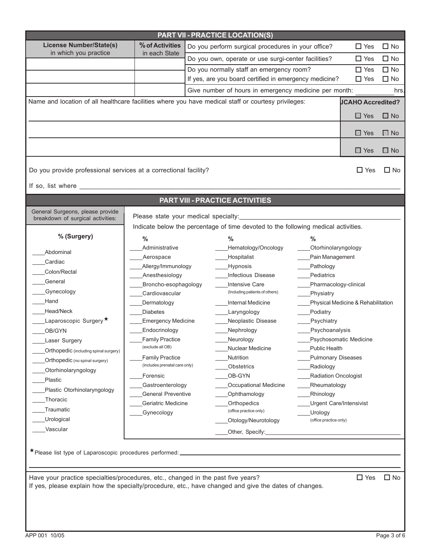| PART VII - PRACTICE LOCATION(S)                                                                                                                                                                         |                               |                                                                                                     |                                   |                                    |              |  |
|---------------------------------------------------------------------------------------------------------------------------------------------------------------------------------------------------------|-------------------------------|-----------------------------------------------------------------------------------------------------|-----------------------------------|------------------------------------|--------------|--|
| <b>License Number/State(s)</b><br>in which you practice                                                                                                                                                 | % of Activities               | Do you perform surgical procedures in your office?                                                  |                                   | $\square$ Yes                      | $\Box$ No    |  |
|                                                                                                                                                                                                         | in each State                 | Do you own, operate or use surgi-center facilities?                                                 |                                   | $\Box$ Yes                         | $\Box$ No    |  |
|                                                                                                                                                                                                         |                               | Do you normally staff an emergency room?                                                            |                                   | $\Box$ Yes                         | $\Box$ No    |  |
|                                                                                                                                                                                                         |                               | If yes, are you board certified in emergency medicine?                                              |                                   | $\Box$ Yes                         | $\square$ No |  |
|                                                                                                                                                                                                         |                               | Give number of hours in emergency medicine per month:                                               |                                   |                                    | hrs.         |  |
|                                                                                                                                                                                                         |                               | Name and location of all healthcare facilities where you have medical staff or courtesy privileges: |                                   | <b>JCAHO Accredited?</b>           |              |  |
|                                                                                                                                                                                                         |                               |                                                                                                     |                                   |                                    |              |  |
|                                                                                                                                                                                                         |                               |                                                                                                     |                                   | $\Box$ Yes                         | $\Box$ No    |  |
|                                                                                                                                                                                                         |                               |                                                                                                     |                                   |                                    |              |  |
|                                                                                                                                                                                                         |                               |                                                                                                     |                                   | $\Box$ Yes                         | $\Box$ No    |  |
|                                                                                                                                                                                                         |                               |                                                                                                     |                                   | $\Box$ Yes                         | $\Box$ No    |  |
| Do you provide professional services at a correctional facility?                                                                                                                                        |                               |                                                                                                     |                                   | $\Box$ Yes                         | $\Box$ No    |  |
|                                                                                                                                                                                                         |                               |                                                                                                     |                                   |                                    |              |  |
|                                                                                                                                                                                                         |                               |                                                                                                     |                                   |                                    |              |  |
|                                                                                                                                                                                                         |                               | <b>PART VIII - PRACTICE ACTIVITIES</b>                                                              |                                   |                                    |              |  |
| General Surgeons, please provide<br>breakdown of surgical activities:                                                                                                                                   |                               | Please state your medical specialty:                                                                |                                   |                                    |              |  |
|                                                                                                                                                                                                         |                               | Indicate below the percentage of time devoted to the following medical activities.                  |                                   |                                    |              |  |
| % (Surgery)                                                                                                                                                                                             | %                             | $\%$                                                                                                | $\%$                              |                                    |              |  |
|                                                                                                                                                                                                         | Administrative                | Hematology/Oncology                                                                                 | Otorhinolaryngology               |                                    |              |  |
| Abdominal                                                                                                                                                                                               | Aerospace                     | Hospitalist                                                                                         | Pain Management                   |                                    |              |  |
| Cardiac                                                                                                                                                                                                 | Allergy/Immunology            | <b>Hypnosis</b>                                                                                     | Pathology                         |                                    |              |  |
| Colon/Rectal                                                                                                                                                                                            | Anesthesiology                | Infectious Disease                                                                                  | Pediatrics                        |                                    |              |  |
| General                                                                                                                                                                                                 | Broncho-esophagology          | <b>Intensive Care</b>                                                                               | Pharmacology-clinical             |                                    |              |  |
| Gynecology                                                                                                                                                                                              | Cardiovascular                | (Including patients of others)                                                                      | Physiatry                         |                                    |              |  |
| Hand                                                                                                                                                                                                    | Dermatology                   | Internal Medicine                                                                                   |                                   | Physical Medicine & Rehabilitation |              |  |
| Head/Neck                                                                                                                                                                                               | <b>Diabetes</b>               | Laryngology                                                                                         | Podiatry                          |                                    |              |  |
| Laparoscopic Surgery <sup>★</sup>                                                                                                                                                                       | Emergency Medicine            | Neoplastic Disease                                                                                  | Psychiatry                        |                                    |              |  |
| OB/GYN                                                                                                                                                                                                  | Endocrinology                 | Nephrology                                                                                          | Psychoanalysis                    |                                    |              |  |
| <b>Laser Surgery</b>                                                                                                                                                                                    | <b>Family Practice</b>        | Neurology                                                                                           |                                   | Psychosomatic Medicine             |              |  |
| Orthopedic (including spinal surgery)                                                                                                                                                                   | (exclude all OB)              | Nuclear Medicine                                                                                    | Public Health                     |                                    |              |  |
| Orthopedic (no spinal surgery)                                                                                                                                                                          | <b>Family Practice</b>        | Nutrition                                                                                           | <b>Pulmonary Diseases</b>         |                                    |              |  |
| Otorhinolaryngology                                                                                                                                                                                     | (includes prenatal care only) | Obstetrics                                                                                          | Radiology                         |                                    |              |  |
| Plastic                                                                                                                                                                                                 | Forensic                      | OB-GYN                                                                                              | Radiation Oncologist              |                                    |              |  |
| Plastic Otorhinolaryngology                                                                                                                                                                             | Gastroenterology              | Occupational Medicine                                                                               | Rheumatology                      |                                    |              |  |
| Thoracic                                                                                                                                                                                                | <b>General Preventive</b>     | Ophthamology<br>Orthopedics                                                                         | Rhinology                         |                                    |              |  |
| Traumatic                                                                                                                                                                                               | Geriatric Medicine            | (office practice only)                                                                              | Urgent Care/Intensivist           |                                    |              |  |
| <b>Urological</b>                                                                                                                                                                                       | Gynecology                    | Otology/Neurotology                                                                                 | Urology<br>(office practice only) |                                    |              |  |
| Vascular                                                                                                                                                                                                |                               | Other, Specify:                                                                                     |                                   |                                    |              |  |
|                                                                                                                                                                                                         |                               |                                                                                                     |                                   |                                    |              |  |
| * Please list type of Laparoscopic procedures performed: _____                                                                                                                                          |                               |                                                                                                     |                                   |                                    |              |  |
|                                                                                                                                                                                                         |                               |                                                                                                     |                                   |                                    |              |  |
|                                                                                                                                                                                                         |                               |                                                                                                     |                                   |                                    |              |  |
| $\Box$ Yes<br>Have your practice specialties/procedures, etc., changed in the past five years?<br>If yes, please explain how the specialty/procedure, etc., have changed and give the dates of changes. |                               |                                                                                                     |                                   |                                    | $\square$ No |  |
|                                                                                                                                                                                                         |                               |                                                                                                     |                                   |                                    |              |  |
|                                                                                                                                                                                                         |                               |                                                                                                     |                                   |                                    |              |  |
|                                                                                                                                                                                                         |                               |                                                                                                     |                                   |                                    |              |  |
|                                                                                                                                                                                                         |                               |                                                                                                     |                                   |                                    |              |  |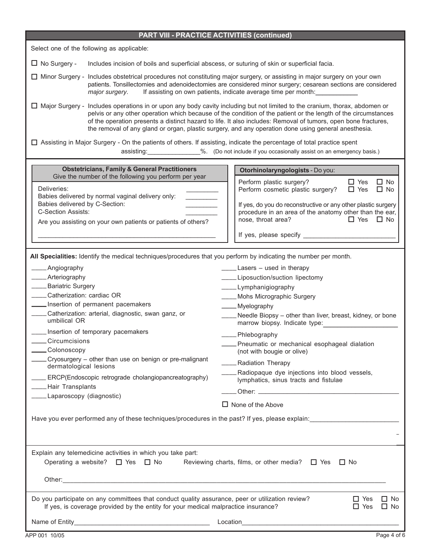| <b>PART VIII - PRACTICE ACTIVITIES (continued)</b>                                                                                                                                                                                                                                                                                                                                                                                                                                                                                                                                                                                                                                                                      |                                                                                                                                                                                                                                                                                                                                                                                                                                                                                                                 |  |  |  |  |  |
|-------------------------------------------------------------------------------------------------------------------------------------------------------------------------------------------------------------------------------------------------------------------------------------------------------------------------------------------------------------------------------------------------------------------------------------------------------------------------------------------------------------------------------------------------------------------------------------------------------------------------------------------------------------------------------------------------------------------------|-----------------------------------------------------------------------------------------------------------------------------------------------------------------------------------------------------------------------------------------------------------------------------------------------------------------------------------------------------------------------------------------------------------------------------------------------------------------------------------------------------------------|--|--|--|--|--|
| Select one of the following as applicable:                                                                                                                                                                                                                                                                                                                                                                                                                                                                                                                                                                                                                                                                              |                                                                                                                                                                                                                                                                                                                                                                                                                                                                                                                 |  |  |  |  |  |
| $\Box$ No Surgery -<br>Includes incision of boils and superficial abscess, or suturing of skin or superficial facia.                                                                                                                                                                                                                                                                                                                                                                                                                                                                                                                                                                                                    |                                                                                                                                                                                                                                                                                                                                                                                                                                                                                                                 |  |  |  |  |  |
| □ Minor Surgery - Includes obstetrical procedures not constituting major surgery, or assisting in major surgery on your own<br>patients. Tonsillectomies and adenoidectomies are considered minor surgery; cesarean sections are considered<br>If assisting on own patients, indicate average time per month:<br>major surgery.                                                                                                                                                                                                                                                                                                                                                                                         |                                                                                                                                                                                                                                                                                                                                                                                                                                                                                                                 |  |  |  |  |  |
| □ Major Surgery - Includes operations in or upon any body cavity including but not limited to the cranium, thorax, abdomen or<br>pelvis or any other operation which because of the condition of the patient or the length of the circumstances<br>of the operation presents a distinct hazard to life. It also includes: Removal of tumors, open bone fractures,<br>the removal of any gland or organ, plastic surgery, and any operation done using general anesthesia.                                                                                                                                                                                                                                               |                                                                                                                                                                                                                                                                                                                                                                                                                                                                                                                 |  |  |  |  |  |
| □ Assisting in Major Surgery - On the patients of others. If assisting, indicate the percentage of total practice spent<br>assisting: 2012-00-2015). (Do not include if you occasionally assist on an emergency basis.)                                                                                                                                                                                                                                                                                                                                                                                                                                                                                                 |                                                                                                                                                                                                                                                                                                                                                                                                                                                                                                                 |  |  |  |  |  |
| <b>Obstetricians, Family &amp; General Practitioners</b>                                                                                                                                                                                                                                                                                                                                                                                                                                                                                                                                                                                                                                                                | Otorhinolaryngologists - Do you:                                                                                                                                                                                                                                                                                                                                                                                                                                                                                |  |  |  |  |  |
| Give the number of the following you perform per year<br>Deliveries:<br>Babies delivered by normal vaginal delivery only:<br>Babies delivered by C-Section:<br><b>C-Section Assists:</b><br>Are you assisting on your own patients or patients of others?                                                                                                                                                                                                                                                                                                                                                                                                                                                               | Perform plastic surgery?<br>$\Box$ Yes<br>$\Box$ No<br>Perform cosmetic plastic surgery?<br>$\Box$ Yes<br>$\Box$ No<br>If yes, do you do reconstructive or any other plastic surgery<br>procedure in an area of the anatomy other than the ear,<br>nose, throat area?<br>$\Box$ Yes<br>$\Box$ No                                                                                                                                                                                                                |  |  |  |  |  |
|                                                                                                                                                                                                                                                                                                                                                                                                                                                                                                                                                                                                                                                                                                                         |                                                                                                                                                                                                                                                                                                                                                                                                                                                                                                                 |  |  |  |  |  |
| All Specialities: Identify the medical techniques/procedures that you perform by indicating the number per month.<br>____Angiography<br>____Arteriography<br>____Bariatric Surgery<br>_____Catherization: cardiac OR<br>Insertion of permanent pacemakers<br>____Catherization: arterial, diagnostic, swan ganz, or<br>umbilical OR<br>___ Insertion of temporary pacemakers<br>Circumcisions<br>___Colonoscopy<br>Cryosurgery - other than use on benign or pre-malignant<br>dermatological lesions<br>ERCP(Endoscopic retrograde cholangiopancreatography)<br>____Hair Transplants<br>___ Laparoscopy (diagnostic)<br>Have you ever performed any of these techniques/procedures in the past? If yes, please explain: | _____Lasers - used in therapy<br>____Liposuction/suction lipectomy<br>____Lymphanigiography<br>____ Mohs Micrographic Surgery<br>____Myelography<br>____ Needle Biopsy - other than liver, breast, kidney, or bone<br>marrow biopsy. Indicate type:<br>____Phlebography<br>___ Pneumatic or mechanical esophageal dialation<br>(not with bougie or olive)<br><b>Radiation Therapy</b><br>____Radiopaque dye injections into blood vessels,<br>lymphatics, sinus tracts and fistulae<br>$\Box$ None of the Above |  |  |  |  |  |
| Explain any telemedicine activities in which you take part:<br>Operating a website? $\Box$ Yes $\Box$ No                                                                                                                                                                                                                                                                                                                                                                                                                                                                                                                                                                                                                | Reviewing charts, films, or other media? $\Box$ Yes<br>$\Box$ No                                                                                                                                                                                                                                                                                                                                                                                                                                                |  |  |  |  |  |
|                                                                                                                                                                                                                                                                                                                                                                                                                                                                                                                                                                                                                                                                                                                         |                                                                                                                                                                                                                                                                                                                                                                                                                                                                                                                 |  |  |  |  |  |
| Do you participate on any committees that conduct quality assurance, peer or utilization review?<br>$\Box$ No<br>$\Box$ Yes<br>If yes, is coverage provided by the entity for your medical malpractice insurance?<br>$\Box$ Yes<br>$\Box$ No                                                                                                                                                                                                                                                                                                                                                                                                                                                                            |                                                                                                                                                                                                                                                                                                                                                                                                                                                                                                                 |  |  |  |  |  |
|                                                                                                                                                                                                                                                                                                                                                                                                                                                                                                                                                                                                                                                                                                                         |                                                                                                                                                                                                                                                                                                                                                                                                                                                                                                                 |  |  |  |  |  |
|                                                                                                                                                                                                                                                                                                                                                                                                                                                                                                                                                                                                                                                                                                                         |                                                                                                                                                                                                                                                                                                                                                                                                                                                                                                                 |  |  |  |  |  |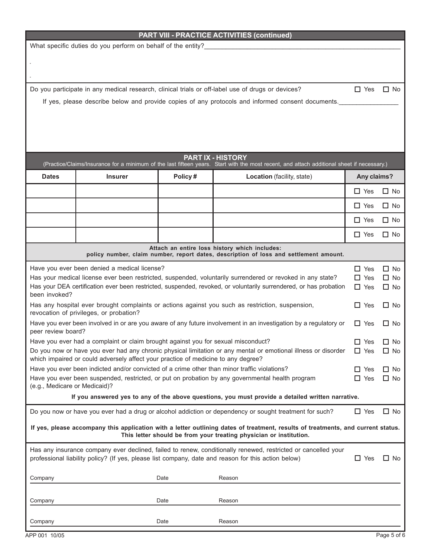## **PART VIII - PRACTICE ACTIVITIES (continued)**

 $\mathcal{L}_\mathcal{L} = \mathcal{L}_\mathcal{L} = \mathcal{L}_\mathcal{L} = \mathcal{L}_\mathcal{L} = \mathcal{L}_\mathcal{L} = \mathcal{L}_\mathcal{L} = \mathcal{L}_\mathcal{L} = \mathcal{L}_\mathcal{L} = \mathcal{L}_\mathcal{L} = \mathcal{L}_\mathcal{L} = \mathcal{L}_\mathcal{L} = \mathcal{L}_\mathcal{L} = \mathcal{L}_\mathcal{L} = \mathcal{L}_\mathcal{L} = \mathcal{L}_\mathcal{L} = \mathcal{L}_\mathcal{L} = \mathcal{L}_\mathcal{L}$  $\mathcal{L}_\mathcal{L} = \mathcal{L}_\mathcal{L} = \mathcal{L}_\mathcal{L} = \mathcal{L}_\mathcal{L} = \mathcal{L}_\mathcal{L} = \mathcal{L}_\mathcal{L} = \mathcal{L}_\mathcal{L} = \mathcal{L}_\mathcal{L} = \mathcal{L}_\mathcal{L} = \mathcal{L}_\mathcal{L} = \mathcal{L}_\mathcal{L} = \mathcal{L}_\mathcal{L} = \mathcal{L}_\mathcal{L} = \mathcal{L}_\mathcal{L} = \mathcal{L}_\mathcal{L} = \mathcal{L}_\mathcal{L} = \mathcal{L}_\mathcal{L}$ 

What specific duties do you perform on behalf of the entity?

Do you participate in any medical research, clinical trials or off-label use of drugs or devices?  $\Box$  Yes  $\Box$  No

If yes, please describe below and provide copies of any protocols and informed consent documents.

| <b>PART IX - HISTORY</b><br>(Practice/Claims/Insurance for a minimum of the last fifteen years. Start with the most recent, and attach additional sheet if necessary.)                                               |                                              |         |                                                                                                            |               |                        |  |
|----------------------------------------------------------------------------------------------------------------------------------------------------------------------------------------------------------------------|----------------------------------------------|---------|------------------------------------------------------------------------------------------------------------|---------------|------------------------|--|
| <b>Dates</b>                                                                                                                                                                                                         | <b>Insurer</b>                               | Policy# | Location (facility, state)                                                                                 | Any claims?   |                        |  |
|                                                                                                                                                                                                                      |                                              |         |                                                                                                            | $\Box$ Yes    | $\Box$ No              |  |
|                                                                                                                                                                                                                      |                                              |         |                                                                                                            | $\Box$ Yes    | $\Box$ No              |  |
|                                                                                                                                                                                                                      |                                              |         |                                                                                                            | $\Box$ Yes    | $\Box$ No              |  |
|                                                                                                                                                                                                                      |                                              |         |                                                                                                            | $\Box$ Yes    | $\Box$ No              |  |
| Attach an entire loss history which includes:<br>policy number, claim number, report dates, description of loss and settlement amount.                                                                               |                                              |         |                                                                                                            |               |                        |  |
|                                                                                                                                                                                                                      | Have you ever been denied a medical license? |         |                                                                                                            | $\square$ Yes | $\Box$ No              |  |
|                                                                                                                                                                                                                      |                                              |         | Has your medical license ever been restricted, suspended, voluntarily surrendered or revoked in any state? | $\Box$ Yes    | $\Box$ No              |  |
| Has your DEA certification ever been restricted, suspended, revoked, or voluntarily surrendered, or has probation<br>been invoked?                                                                                   |                                              |         |                                                                                                            |               | $\Box$ No              |  |
| Has any hospital ever brought complaints or actions against you such as restriction, suspension,<br>revocation of privileges, or probation?                                                                          |                                              |         |                                                                                                            |               | $\Box$ No              |  |
| Have you ever been involved in or are you aware of any future involvement in an investigation by a regulatory or<br>peer review board?                                                                               |                                              |         |                                                                                                            |               | $\Box$ No              |  |
| Have you ever had a complaint or claim brought against you for sexual misconduct?<br>$\Box$ Yes                                                                                                                      |                                              |         |                                                                                                            |               |                        |  |
| Do you now or have you ever had any chronic physical limitation or any mental or emotional illness or disorder<br>which impaired or could adversely affect your practice of medicine to any degree?                  |                                              |         |                                                                                                            |               | $\Box$ No<br>$\Box$ No |  |
| Have you ever been indicted and/or convicted of a crime other than minor traffic violations?                                                                                                                         |                                              |         |                                                                                                            |               | $\Box$ No              |  |
| Have you ever been suspended, restricted, or put on probation by any governmental health program<br>(e.g., Medicare or Medicaid)?                                                                                    |                                              |         |                                                                                                            |               | $\Box$ No              |  |
| If you answered yes to any of the above questions, you must provide a detailed written narrative.                                                                                                                    |                                              |         |                                                                                                            |               |                        |  |
|                                                                                                                                                                                                                      |                                              |         | Do you now or have you ever had a drug or alcohol addiction or dependency or sought treatment for such?    | $\Box$ Yes    | $\Box$ No              |  |
| If yes, please accompany this application with a letter outlining dates of treatment, results of treatments, and current status.<br>This letter should be from your treating physician or institution.               |                                              |         |                                                                                                            |               |                        |  |
| Has any insurance company ever declined, failed to renew, conditionally renewed, restricted or cancelled your<br>professional liability policy? (If yes, please list company, date and reason for this action below) |                                              |         |                                                                                                            | $\Box$ Yes    | $\Box$ No              |  |
| Company                                                                                                                                                                                                              |                                              | Date    | Reason                                                                                                     |               |                        |  |
|                                                                                                                                                                                                                      |                                              |         |                                                                                                            |               |                        |  |
| Company                                                                                                                                                                                                              |                                              | Date    | Reason                                                                                                     |               |                        |  |
| Company                                                                                                                                                                                                              |                                              | Date    | Reason                                                                                                     |               |                        |  |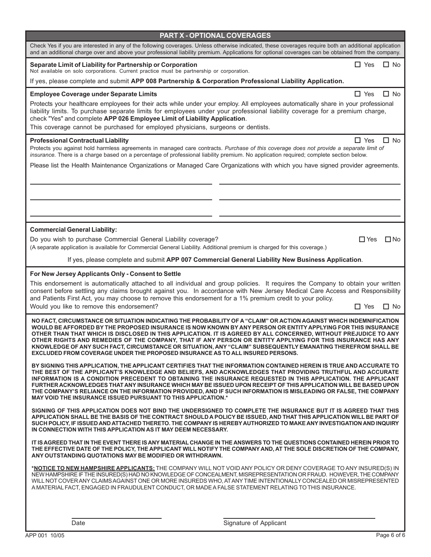| Check Yes if you are interested in any of the following coverages. Unless otherwise indicated, these coverages require both an additional application<br>and an additional charge over and above your professional liability premium. Applications for optional coverages can be obtained from the company.                                                                                                                                                                                                                                                                                                                                                           |            |              |
|-----------------------------------------------------------------------------------------------------------------------------------------------------------------------------------------------------------------------------------------------------------------------------------------------------------------------------------------------------------------------------------------------------------------------------------------------------------------------------------------------------------------------------------------------------------------------------------------------------------------------------------------------------------------------|------------|--------------|
| Separate Limit of Liability for Partnership or Corporation<br>Not available on solo corporations. Current practice must be partnership or corporation.                                                                                                                                                                                                                                                                                                                                                                                                                                                                                                                | $\Box$ Yes | $\Box$ No    |
| If yes, please complete and submit APP 008 Partnership & Corporation Professional Liability Application.                                                                                                                                                                                                                                                                                                                                                                                                                                                                                                                                                              |            |              |
| <b>Employee Coverage under Separate Limits</b>                                                                                                                                                                                                                                                                                                                                                                                                                                                                                                                                                                                                                        | $\Box$ Yes | $\Box$ No    |
| Protects your healthcare employees for their acts while under your employ. All employees automatically share in your professional<br>liability limits. To purchase separate limits for employees under your professional liability coverage for a premium charge,<br>check "Yes" and complete APP 026 Employee Limit of Liability Application.<br>This coverage cannot be purchased for employed physicians, surgeons or dentists.                                                                                                                                                                                                                                    |            |              |
| <b>Professional Contractual Liability</b><br>Protects you against hold harmless agreements in managed care contracts. Purchase of this coverage does not provide a separate limit of<br>insurance. There is a charge based on a percentage of professional liability premium. No application required; complete section below.                                                                                                                                                                                                                                                                                                                                        | $\Box$ Yes | $\Box$ No    |
| Please list the Health Maintenance Organizations or Managed Care Organizations with which you have signed provider agreements.                                                                                                                                                                                                                                                                                                                                                                                                                                                                                                                                        |            |              |
|                                                                                                                                                                                                                                                                                                                                                                                                                                                                                                                                                                                                                                                                       |            |              |
| <b>Commercial General Liability:</b>                                                                                                                                                                                                                                                                                                                                                                                                                                                                                                                                                                                                                                  |            |              |
| Do you wish to purchase Commercial General Liability coverage?<br>(A separate application is available for Commercial General Liability. Additional premium is charged for this coverage.)                                                                                                                                                                                                                                                                                                                                                                                                                                                                            | $\Box$ Yes | $\square$ No |
| If yes, please complete and submit APP 007 Commercial General Liability New Business Application.                                                                                                                                                                                                                                                                                                                                                                                                                                                                                                                                                                     |            |              |
| For New Jersey Applicants Only - Consent to Settle<br>This endorsement is automatically attached to all individual and group policies. It requires the Company to obtain your written<br>consent before settling any claims brought against you. In accordance with New Jersey Medical Care Access and Responsibility<br>and Patients First Act, you may choose to remove this endorsement for a 1% premium credit to your policy.<br>Would you like to remove this endorsement?                                                                                                                                                                                      | $\Box$ Yes | $\Box$ No    |
| NO FACT, CIRCUMSTANCE OR SITUATION INDICATING THE PROBABILITY OF A "CLAIM" OR ACTION AGAINST WHICH INDEMNIFICATION<br>WOULD BE AFFORDED BY THE PROPOSED INSURANCE IS NOW KNOWN BY ANY PERSON OR ENTITY APPLYING FOR THIS INSURANCE<br>OTHER THAN THAT WHICH IS DISCLOSED IN THIS APPLICATION. IT IS AGREED BY ALL CONCERNED, WITHOUT PREJUDICE TO ANY<br>OTHER RIGHTS AND REMEDIES OF THE COMPANY, THAT IF ANY PERSON OR ENTITY APPLYING FOR THIS INSURANCE HAS ANY<br>KNOWLEDGE OF ANY SUCH FACT, CIRCUMSTANCE OR SITUATION, ANY "CLAIM" SUBSEQUENTLY EMANATING THEREFROM SHALL BE<br>EXCLUDED FROM COVERAGE UNDER THE PROPOSED INSURANCE AS TO ALL INSURED PERSONS. |            |              |
| BY SIGNING THIS APPLICATION, THE APPLICANT CERTIFIES THAT THE INFORMATION CONTAINED HEREIN IS TRUE AND ACCURATE TO<br>THE BEST OF THE APPLICANT'S KNOWLEDGE AND BELIEFS, AND ACKNOWLEDGES THAT PROVIDING TRUTHFUL AND ACCURATE<br>INFORMATION IS A CONDITION PRECEDENT TO OBTAINING THE INSURANCE REQUESTED IN THIS APPLICATION. THE APPLICANT<br>FURTHER ACKNOWLEDGES THAT ANY INSURANCE WHICH MAY BE ISSUED UPON RECEIPT OF THIS APPLICATION WILL BE BASED UPON<br>THE COMPANY'S RELIANCE ON THE INFORMATION PROVIDED. AND IF SUCH INFORMATION IS MISLEADING OR FALSE. THE COMPANY<br><b>MAY VOID THE INSURANCE ISSUED PURSUANT TO THIS APPLICATION.*</b>           |            |              |
| SIGNING OF THIS APPLICATION DOES NOT BIND THE UNDERSIGNED TO COMPLETE THE INSURANCE BUT IT IS AGREED THAT THIS<br>APPLICATION SHALL BE THE BASIS OF THE CONTRACT SHOULD A POLICY BE ISSUED, AND THAT THIS APPLICATION WILL BE PART OF<br>SUCH POLICY, IF ISSUED AND ATTACHED THERETO. THE COMPANY IS HEREBY AUTHORIZED TO MAKE ANY INVESTIGATION AND INQUIRY<br>IN CONNECTION WITH THIS APPLICATION AS IT MAY DEEM NECESSARY.                                                                                                                                                                                                                                         |            |              |
| IT IS AGREED THAT IN THE EVENT THERE IS ANY MATERIAL CHANGE IN THE ANSWERS TO THE QUESTIONS CONTAINED HEREIN PRIOR TO<br>THE EFFECTIVE DATE OF THE POLICY, THE APPLICANT WILL NOTIFY THE COMPANY AND, AT THE SOLE DISCRETION OF THE COMPANY,<br>ANY OUTSTANDING QUOTATIONS MAY BE MODIFIED OR WITHDRAWN.                                                                                                                                                                                                                                                                                                                                                              |            |              |
| *NOTICE TO NEW HAMPSHIRE APPLICANTS: THE COMPANY WILL NOT VOID ANY POLICY OR DENY COVERAGE TO ANY INSURED(S) IN<br>NEW HAMPSHIRE IF THE INSURED(S) HAD NO KNOWLEDGE OF CONCEALMENT, MISREPRESENTATION OR FRAUD. HOWEVER, THE COMPANY<br>WILL NOT COVER ANY CLAIMS AGAINST ONE OR MORE INSUREDS WHO, AT ANY TIME INTENTIONALLY CONCEALED OR MISREPRESENTED<br>A MATERIAL FACT, ENGAGED IN FRAUDULENT CONDUCT, OR MADE A FALSE STATEMENT RELATING TO THIS INSURANCE.                                                                                                                                                                                                    |            |              |

**PART X - OPTIONAL COVERAGES**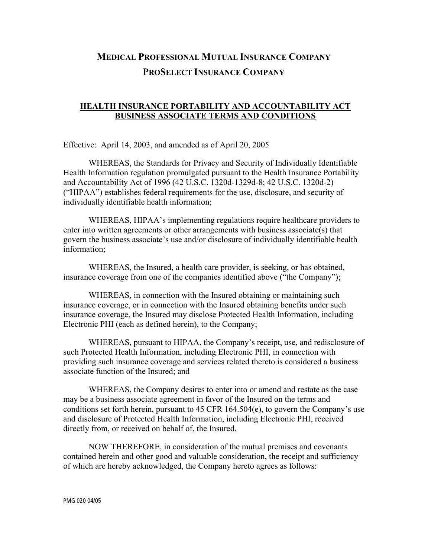## **MEDICAL PROFESSIONAL MUTUAL INSURANCE COMPANY PROSELECT INSURANCE COMPANY**

## **HEALTH INSURANCE PORTABILITY AND ACCOUNTABILITY ACT BUSINESS ASSOCIATE TERMS AND CONDITIONS**

Effective: April 14, 2003, and amended as of April 20, 2005

 WHEREAS, the Standards for Privacy and Security of Individually Identifiable Health Information regulation promulgated pursuant to the Health Insurance Portability and Accountability Act of 1996 (42 U.S.C. 1320d-1329d-8; 42 U.S.C. 1320d-2) ("HIPAA") establishes federal requirements for the use, disclosure, and security of individually identifiable health information;

 WHEREAS, HIPAA's implementing regulations require healthcare providers to enter into written agreements or other arrangements with business associate(s) that govern the business associate's use and/or disclosure of individually identifiable health information;

 WHEREAS, the Insured, a health care provider, is seeking, or has obtained, insurance coverage from one of the companies identified above ("the Company");

 WHEREAS, in connection with the Insured obtaining or maintaining such insurance coverage, or in connection with the Insured obtaining benefits under such insurance coverage, the Insured may disclose Protected Health Information, including Electronic PHI (each as defined herein), to the Company;

 WHEREAS, pursuant to HIPAA, the Company's receipt, use, and redisclosure of such Protected Health Information, including Electronic PHI, in connection with providing such insurance coverage and services related thereto is considered a business associate function of the Insured; and

 WHEREAS, the Company desires to enter into or amend and restate as the case may be a business associate agreement in favor of the Insured on the terms and conditions set forth herein, pursuant to 45 CFR 164.504(e), to govern the Company's use and disclosure of Protected Health Information, including Electronic PHI, received directly from, or received on behalf of, the Insured.

 NOW THEREFORE, in consideration of the mutual premises and covenants contained herein and other good and valuable consideration, the receipt and sufficiency of which are hereby acknowledged, the Company hereto agrees as follows: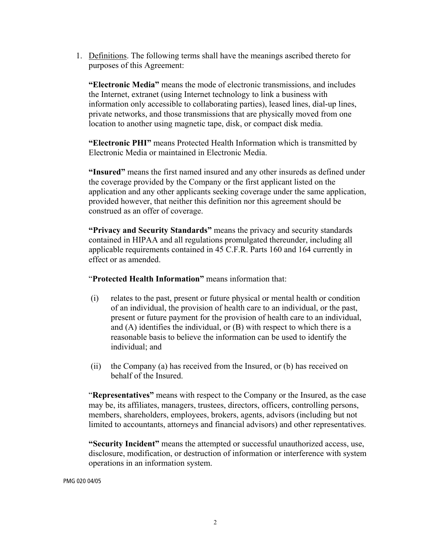1. Definitions. The following terms shall have the meanings ascribed thereto for purposes of this Agreement:

**"Electronic Media"** means the mode of electronic transmissions, and includes the Internet, extranet (using Internet technology to link a business with information only accessible to collaborating parties), leased lines, dial-up lines, private networks, and those transmissions that are physically moved from one location to another using magnetic tape, disk, or compact disk media.

**"Electronic PHI"** means Protected Health Information which is transmitted by Electronic Media or maintained in Electronic Media.

**"Insured"** means the first named insured and any other insureds as defined under the coverage provided by the Company or the first applicant listed on the application and any other applicants seeking coverage under the same application, provided however, that neither this definition nor this agreement should be construed as an offer of coverage.

**"Privacy and Security Standards"** means the privacy and security standards contained in HIPAA and all regulations promulgated thereunder, including all applicable requirements contained in 45 C.F.R. Parts 160 and 164 currently in effect or as amended.

"**Protected Health Information"** means information that:

- (i) relates to the past, present or future physical or mental health or condition of an individual, the provision of health care to an individual, or the past, present or future payment for the provision of health care to an individual, and (A) identifies the individual, or (B) with respect to which there is a reasonable basis to believe the information can be used to identify the individual; and
- (ii) the Company (a) has received from the Insured, or (b) has received on behalf of the Insured.

"**Representatives"** means with respect to the Company or the Insured, as the case may be, its affiliates, managers, trustees, directors, officers, controlling persons, members, shareholders, employees, brokers, agents, advisors (including but not limited to accountants, attorneys and financial advisors) and other representatives.

**"Security Incident"** means the attempted or successful unauthorized access, use, disclosure, modification, or destruction of information or interference with system operations in an information system.

PMG 020 04/05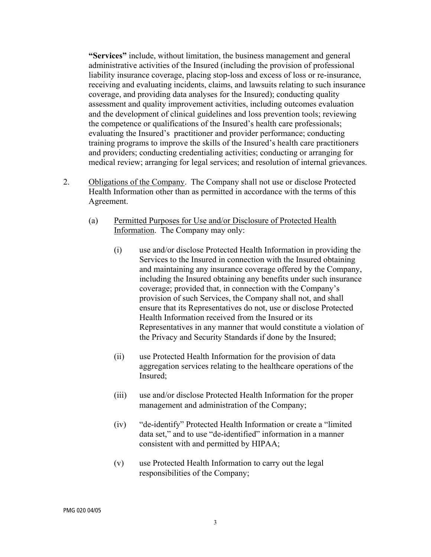**"Services"** include, without limitation, the business management and general administrative activities of the Insured (including the provision of professional liability insurance coverage, placing stop-loss and excess of loss or re-insurance, receiving and evaluating incidents, claims, and lawsuits relating to such insurance coverage, and providing data analyses for the Insured); conducting quality assessment and quality improvement activities, including outcomes evaluation and the development of clinical guidelines and loss prevention tools; reviewing the competence or qualifications of the Insured's health care professionals; evaluating the Insured's practitioner and provider performance; conducting training programs to improve the skills of the Insured's health care practitioners and providers; conducting credentialing activities; conducting or arranging for medical review; arranging for legal services; and resolution of internal grievances.

- 2. Obligations of the Company. The Company shall not use or disclose Protected Health Information other than as permitted in accordance with the terms of this Agreement.
	- (a) Permitted Purposes for Use and/or Disclosure of Protected Health Information.The Company may only:
		- (i) use and/or disclose Protected Health Information in providing the Services to the Insured in connection with the Insured obtaining and maintaining any insurance coverage offered by the Company, including the Insured obtaining any benefits under such insurance coverage; provided that, in connection with the Company's provision of such Services, the Company shall not, and shall ensure that its Representatives do not, use or disclose Protected Health Information received from the Insured or its Representatives in any manner that would constitute a violation of the Privacy and Security Standards if done by the Insured;
		- (ii) use Protected Health Information for the provision of data aggregation services relating to the healthcare operations of the Insured;
		- (iii) use and/or disclose Protected Health Information for the proper management and administration of the Company;
		- (iv) "de-identify" Protected Health Information or create a "limited data set," and to use "de-identified" information in a manner consistent with and permitted by HIPAA;
		- (v) use Protected Health Information to carry out the legal responsibilities of the Company;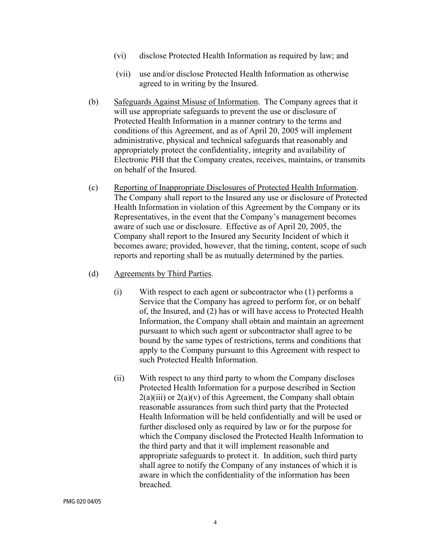- (vi) disclose Protected Health Information as required by law; and
- (vii) use and/or disclose Protected Health Information as otherwise agreed to in writing by the Insured.
- (b) Safeguards Against Misuse of Information. The Company agrees that it will use appropriate safeguards to prevent the use or disclosure of Protected Health Information in a manner contrary to the terms and conditions of this Agreement, and as of April 20, 2005 will implement administrative, physical and technical safeguards that reasonably and appropriately protect the confidentiality, integrity and availability of Electronic PHI that the Company creates, receives, maintains, or transmits on behalf of the Insured.
- (c) Reporting of Inappropriate Disclosures of Protected Health Information. The Company shall report to the Insured any use or disclosure of Protected Health Information in violation of this Agreement by the Company or its Representatives, in the event that the Company's management becomes aware of such use or disclosure. Effective as of April 20, 2005, the Company shall report to the Insured any Security Incident of which it becomes aware; provided, however, that the timing, content, scope of such reports and reporting shall be as mutually determined by the parties.
- (d) Agreements by Third Parties.
	- (i) With respect to each agent or subcontractor who (1) performs a Service that the Company has agreed to perform for, or on behalf of, the Insured, and (2) has or will have access to Protected Health Information, the Company shall obtain and maintain an agreement pursuant to which such agent or subcontractor shall agree to be bound by the same types of restrictions, terms and conditions that apply to the Company pursuant to this Agreement with respect to such Protected Health Information.
	- (ii) With respect to any third party to whom the Company discloses Protected Health Information for a purpose described in Section  $2(a)(iii)$  or  $2(a)(v)$  of this Agreement, the Company shall obtain reasonable assurances from such third party that the Protected Health Information will be held confidentially and will be used or further disclosed only as required by law or for the purpose for which the Company disclosed the Protected Health Information to the third party and that it will implement reasonable and appropriate safeguards to protect it. In addition, such third party shall agree to notify the Company of any instances of which it is aware in which the confidentiality of the information has been breached.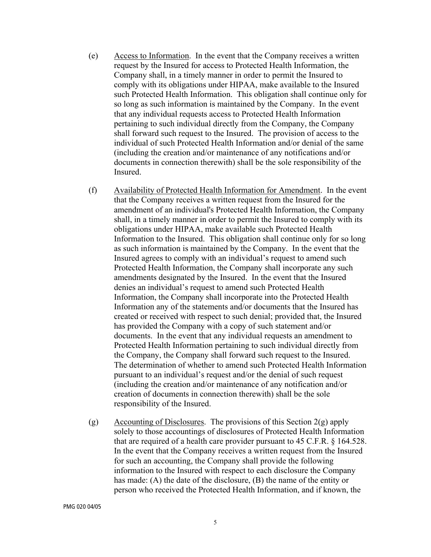- (e) Access to Information. In the event that the Company receives a written request by the Insured for access to Protected Health Information, the Company shall, in a timely manner in order to permit the Insured to comply with its obligations under HIPAA, make available to the Insured such Protected Health Information. This obligation shall continue only for so long as such information is maintained by the Company. In the event that any individual requests access to Protected Health Information pertaining to such individual directly from the Company, the Company shall forward such request to the Insured. The provision of access to the individual of such Protected Health Information and/or denial of the same (including the creation and/or maintenance of any notifications and/or documents in connection therewith) shall be the sole responsibility of the Insured.
- (f) Availability of Protected Health Information for Amendment. In the event that the Company receives a written request from the Insured for the amendment of an individual's Protected Health Information, the Company shall, in a timely manner in order to permit the Insured to comply with its obligations under HIPAA, make available such Protected Health Information to the Insured. This obligation shall continue only for so long as such information is maintained by the Company. In the event that the Insured agrees to comply with an individual's request to amend such Protected Health Information, the Company shall incorporate any such amendments designated by the Insured. In the event that the Insured denies an individual's request to amend such Protected Health Information, the Company shall incorporate into the Protected Health Information any of the statements and/or documents that the Insured has created or received with respect to such denial; provided that, the Insured has provided the Company with a copy of such statement and/or documents. In the event that any individual requests an amendment to Protected Health Information pertaining to such individual directly from the Company, the Company shall forward such request to the Insured. The determination of whether to amend such Protected Health Information pursuant to an individual's request and/or the denial of such request (including the creation and/or maintenance of any notification and/or creation of documents in connection therewith) shall be the sole responsibility of the Insured.
- (g) Accounting of Disclosures. The provisions of this Section  $2(g)$  apply solely to those accountings of disclosures of Protected Health Information that are required of a health care provider pursuant to 45 C.F.R. § 164.528. In the event that the Company receives a written request from the Insured for such an accounting, the Company shall provide the following information to the Insured with respect to each disclosure the Company has made: (A) the date of the disclosure, (B) the name of the entity or person who received the Protected Health Information, and if known, the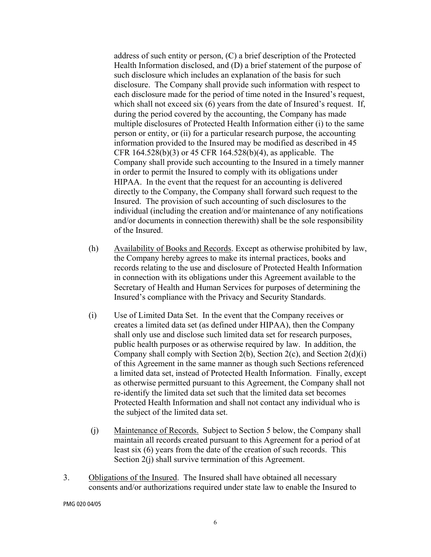address of such entity or person, (C) a brief description of the Protected Health Information disclosed, and (D) a brief statement of the purpose of such disclosure which includes an explanation of the basis for such disclosure. The Company shall provide such information with respect to each disclosure made for the period of time noted in the Insured's request, which shall not exceed six (6) years from the date of Insured's request. If, during the period covered by the accounting, the Company has made multiple disclosures of Protected Health Information either (i) to the same person or entity, or (ii) for a particular research purpose, the accounting information provided to the Insured may be modified as described in 45 CFR 164.528(b)(3) or 45 CFR 164.528(b)(4), as applicable. The Company shall provide such accounting to the Insured in a timely manner in order to permit the Insured to comply with its obligations under HIPAA. In the event that the request for an accounting is delivered directly to the Company, the Company shall forward such request to the Insured. The provision of such accounting of such disclosures to the individual (including the creation and/or maintenance of any notifications and/or documents in connection therewith) shall be the sole responsibility of the Insured.

- (h) Availability of Books and Records. Except as otherwise prohibited by law, the Company hereby agrees to make its internal practices, books and records relating to the use and disclosure of Protected Health Information in connection with its obligations under this Agreement available to the Secretary of Health and Human Services for purposes of determining the Insured's compliance with the Privacy and Security Standards.
- (i) Use of Limited Data Set. In the event that the Company receives or creates a limited data set (as defined under HIPAA), then the Company shall only use and disclose such limited data set for research purposes, public health purposes or as otherwise required by law. In addition, the Company shall comply with Section 2(b), Section 2(c), and Section 2(d)(i) of this Agreement in the same manner as though such Sections referenced a limited data set, instead of Protected Health Information. Finally, except as otherwise permitted pursuant to this Agreement, the Company shall not re-identify the limited data set such that the limited data set becomes Protected Health Information and shall not contact any individual who is the subject of the limited data set.
- (j) Maintenance of Records. Subject to Section 5 below, the Company shall maintain all records created pursuant to this Agreement for a period of at least six (6) years from the date of the creation of such records. This Section 2(j) shall survive termination of this Agreement.
- 3. Obligations of the Insured. The Insured shall have obtained all necessary consents and/or authorizations required under state law to enable the Insured to